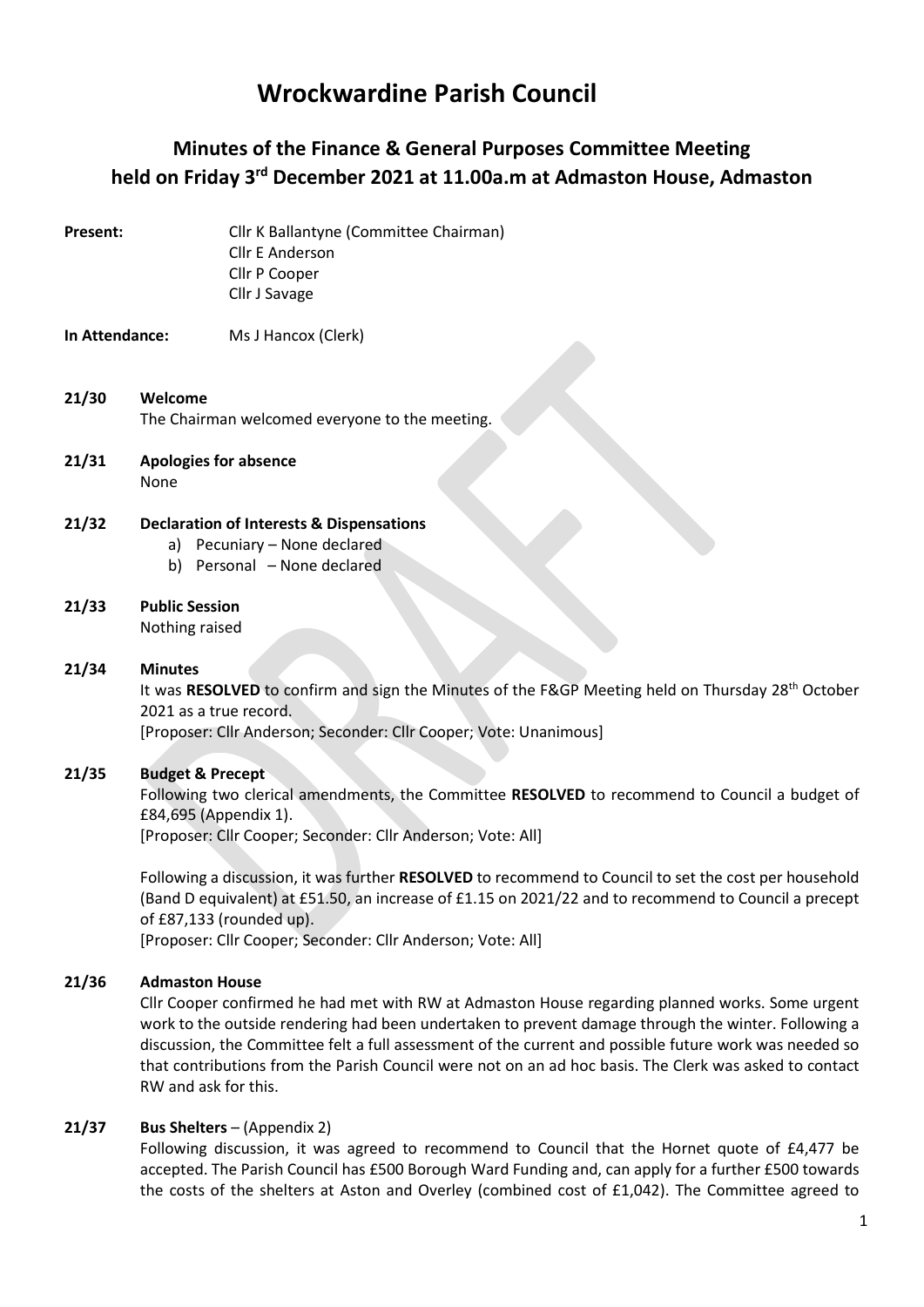# Wrockwardine Parish Council

## Minutes of the Finance & General Purposes Committee Meeting held on Friday 3rd December 2021 at 11.00a.m at Admaston House, Admaston

Present: Cllr K Ballantyne (Committee Chairman) Cllr E Anderson Cllr P Cooper Cllr J Savage

### In Attendance: Ms J Hancox (Clerk)

### 21/30 Welcome The Chairman welcomed everyone to the meeting.

21/31 Apologies for absence None

#### 21/32 Declaration of Interests & Dispensations

- a) Pecuniary None declared
- b) Personal None declared
- 21/33 Public Session Nothing raised

#### 21/34 Minutes

It was RESOLVED to confirm and sign the Minutes of the F&GP Meeting held on Thursday 28<sup>th</sup> October 2021 as a true record.

[Proposer: Cllr Anderson; Seconder: Cllr Cooper; Vote: Unanimous]

#### 21/35 Budget & Precept

Following two clerical amendments, the Committee RESOLVED to recommend to Council a budget of £84,695 (Appendix 1).

[Proposer: Cllr Cooper; Seconder: Cllr Anderson; Vote: All]

Following a discussion, it was further RESOLVED to recommend to Council to set the cost per household (Band D equivalent) at £51.50, an increase of £1.15 on 2021/22 and to recommend to Council a precept of £87,133 (rounded up).

[Proposer: Cllr Cooper; Seconder: Cllr Anderson; Vote: All]

### 21/36 Admaston House

Cllr Cooper confirmed he had met with RW at Admaston House regarding planned works. Some urgent work to the outside rendering had been undertaken to prevent damage through the winter. Following a discussion, the Committee felt a full assessment of the current and possible future work was needed so that contributions from the Parish Council were not on an ad hoc basis. The Clerk was asked to contact RW and ask for this.

#### 21/37 Bus Shelters – (Appendix 2)

Following discussion, it was agreed to recommend to Council that the Hornet quote of £4,477 be accepted. The Parish Council has £500 Borough Ward Funding and, can apply for a further £500 towards the costs of the shelters at Aston and Overley (combined cost of £1,042). The Committee agreed to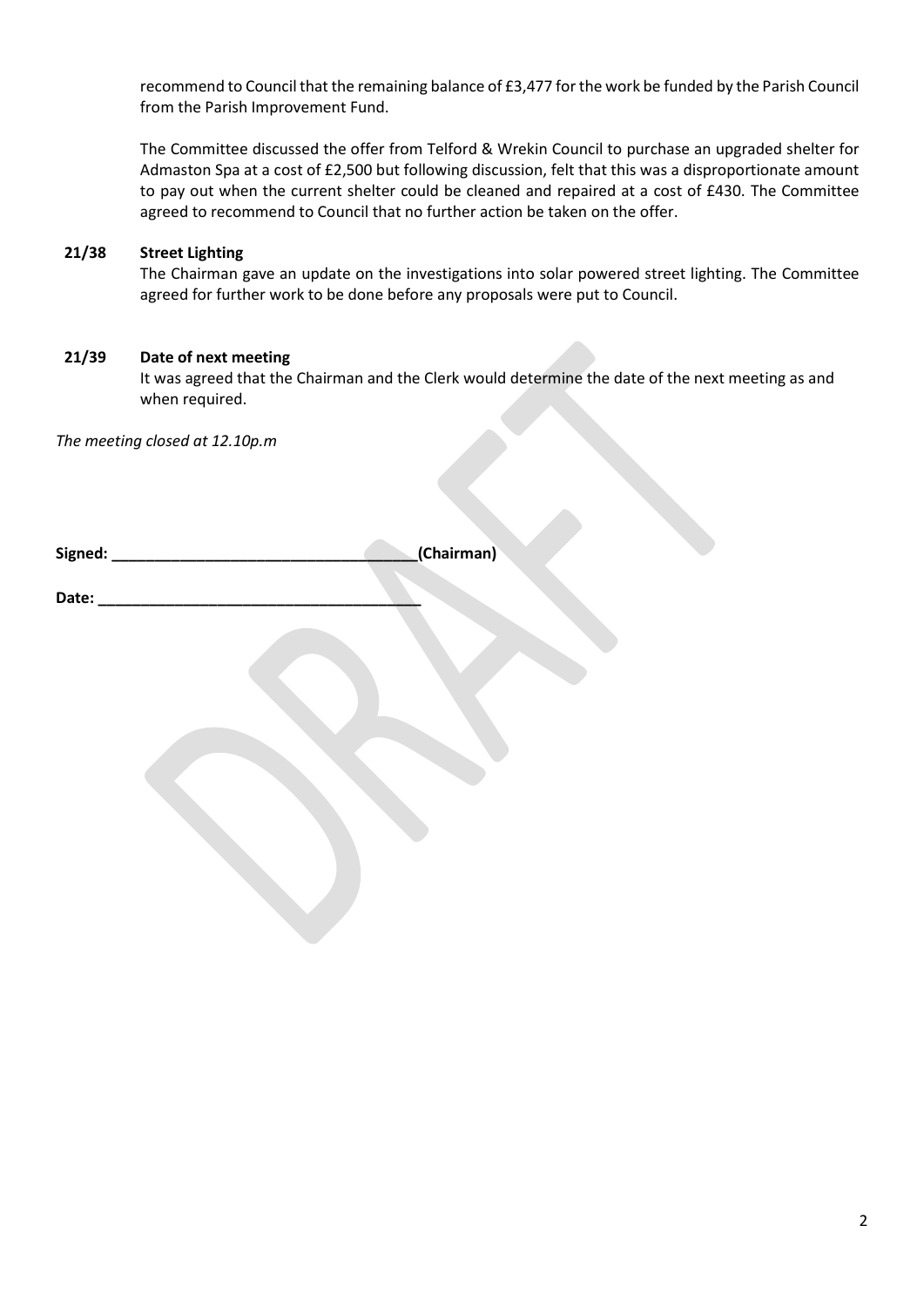recommend to Council that the remaining balance of £3,477 for the work be funded by the Parish Council from the Parish Improvement Fund.

The Committee discussed the offer from Telford & Wrekin Council to purchase an upgraded shelter for Admaston Spa at a cost of £2,500 but following discussion, felt that this was a disproportionate amount to pay out when the current shelter could be cleaned and repaired at a cost of £430. The Committee agreed to recommend to Council that no further action be taken on the offer.

#### 21/38 Street Lighting

The Chairman gave an update on the investigations into solar powered street lighting. The Committee agreed for further work to be done before any proposals were put to Council.

### 21/39 Date of next meeting

It was agreed that the Chairman and the Clerk would determine the date of the next meeting as and when required.

The meeting closed at 12.10p.m

| Signed: | (Chairman) |
|---------|------------|
|         |            |

Date: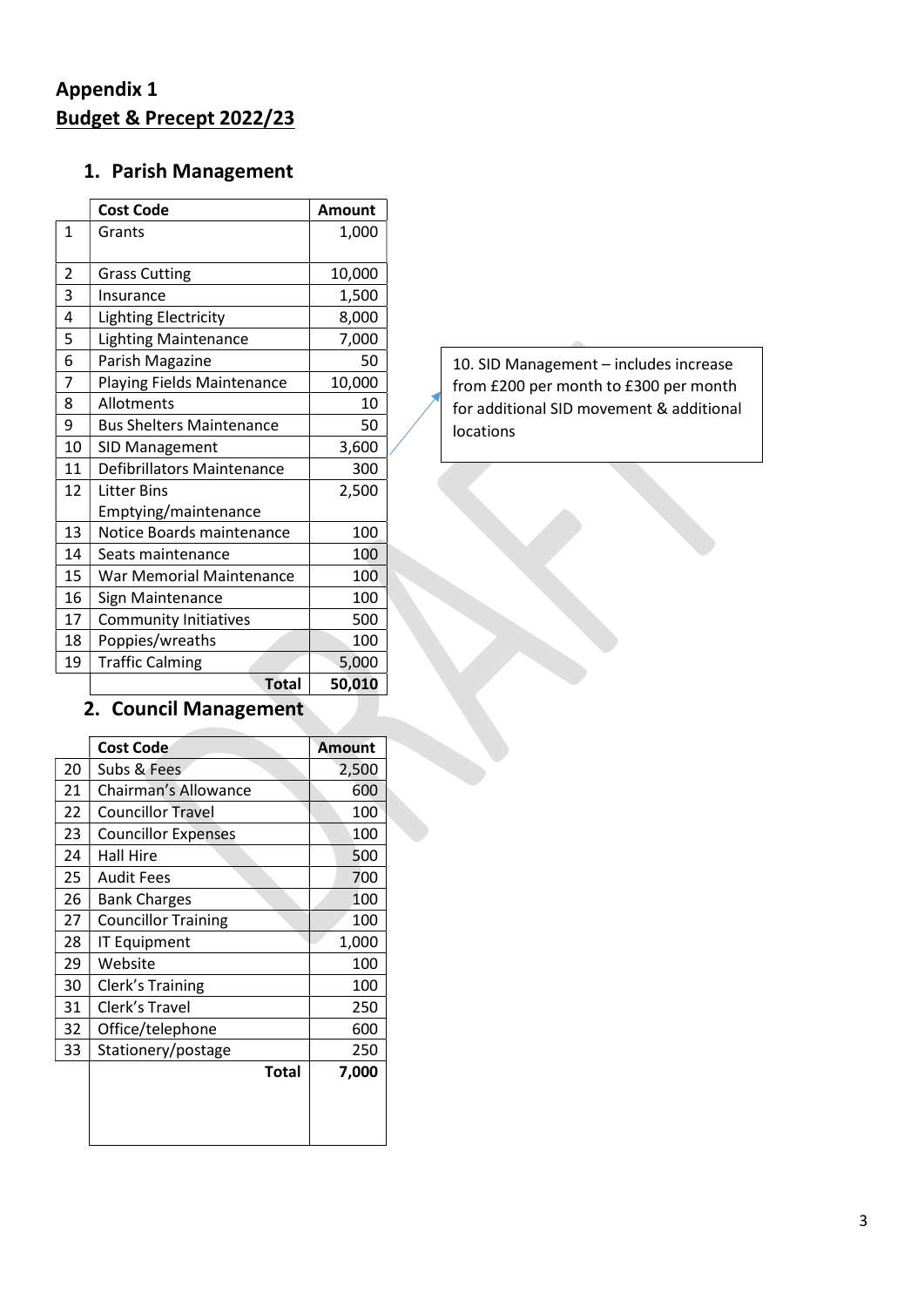# Appendix 1 Budget & Precept 2022/23

## 1. Parish Management

|              | <b>Cost Code</b>                  | <b>Amount</b> |
|--------------|-----------------------------------|---------------|
| $\mathbf{1}$ | Grants                            | 1,000         |
|              |                                   |               |
| 2            | <b>Grass Cutting</b>              | 10,000        |
| 3            | Insurance                         | 1,500         |
| 4            | <b>Lighting Electricity</b>       | 8,000         |
| 5            | <b>Lighting Maintenance</b>       | 7,000         |
| 6            | Parish Magazine                   | 50            |
| 7            | <b>Playing Fields Maintenance</b> | 10,000        |
| 8            | Allotments                        | 10            |
| 9            | <b>Bus Shelters Maintenance</b>   | 50            |
| 10           | SID Management                    | 3,600         |
| 11           | Defibrillators Maintenance        | 300           |
| 12           | Litter Bins                       | 2,500         |
|              | Emptying/maintenance              |               |
| 13           | Notice Boards maintenance         | 100           |
| 14           | Seats maintenance                 | 100           |
| 15           | War Memorial Maintenance          | 100           |
| 16           | Sign Maintenance                  | 100           |
| 17           | <b>Community Initiatives</b>      | 500           |
| 18           | Poppies/wreaths                   | 100           |
| 19           | <b>Traffic Calming</b>            | 5,000         |
|              | <b>Total</b>                      | 50,010        |

# 2. Council Management

|    | Cost Code                  | <b>Amount</b> |
|----|----------------------------|---------------|
| 20 | Subs & Fees                | 2,500         |
| 21 | Chairman's Allowance       | 600           |
| 22 | <b>Councillor Travel</b>   | 100           |
| 23 | <b>Councillor Expenses</b> | 100           |
| 24 | Hall Hire                  | 500           |
| 25 | Audit Fees                 | 700           |
| 26 | <b>Bank Charges</b>        | 100           |
| 27 | <b>Councillor Training</b> | 100           |
| 28 | IT Equipment               | 1,000         |
| 29 | Website                    | 100           |
| 30 | Clerk's Training           | 100           |
| 31 | Clerk's Travel             | 250           |
| 32 | Office/telephone           | 600           |
| 33 | Stationery/postage         | 250           |
|    | <b>Total</b>               | 7,000         |
|    |                            |               |
|    |                            |               |
|    |                            |               |
|    |                            |               |

10. SID Management – includes increase from £200 per month to £300 per month for additional SID movement & additional locations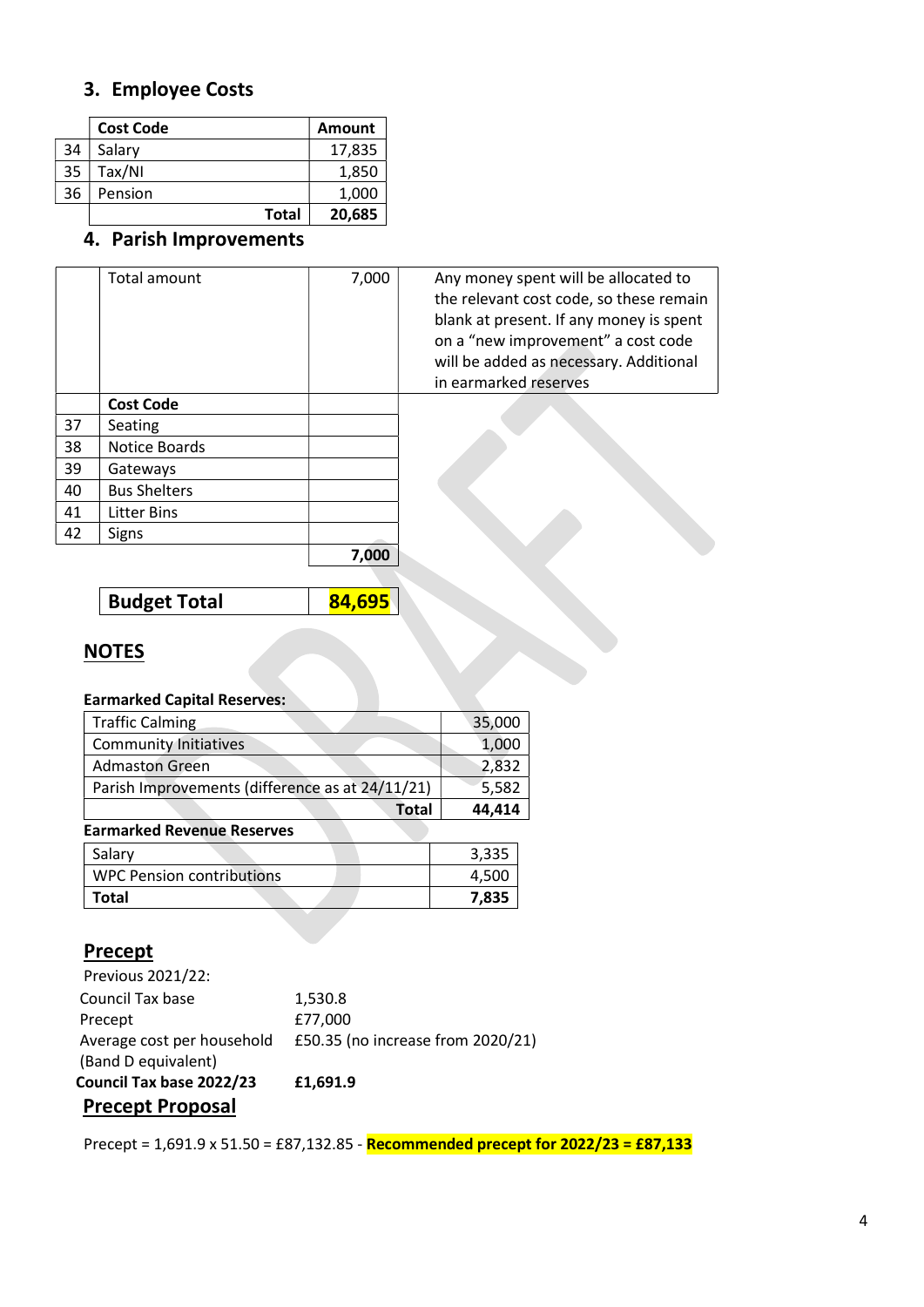## 3. Employee Costs

|    | <b>Cost Code</b> | <b>Amount</b> |
|----|------------------|---------------|
| 34 | Salary           | 17,835        |
| 35 | Tax/NI           | 1,850         |
| 36 | Pension          | 1,000         |
|    | <b>Total</b>     | 20,685        |

# 4. Parish Improvements

|    | Total amount        | 7,000 | Any money spent will be allocated to<br>the relevant cost code, so these remain<br>blank at present. If any money is spent<br>on a "new improvement" a cost code<br>will be added as necessary. Additional<br>in earmarked reserves |
|----|---------------------|-------|-------------------------------------------------------------------------------------------------------------------------------------------------------------------------------------------------------------------------------------|
|    | <b>Cost Code</b>    |       |                                                                                                                                                                                                                                     |
| 37 | Seating             |       |                                                                                                                                                                                                                                     |
| 38 | Notice Boards       |       |                                                                                                                                                                                                                                     |
| 39 | Gateways            |       |                                                                                                                                                                                                                                     |
| 40 | <b>Bus Shelters</b> |       |                                                                                                                                                                                                                                     |
| 41 | <b>Litter Bins</b>  |       |                                                                                                                                                                                                                                     |
| 42 | Signs               |       |                                                                                                                                                                                                                                     |
|    |                     | 7.000 |                                                                                                                                                                                                                                     |

Budget Total 184,695

### **NOTES**

### Earmarked Capital Reserves:

| <b>Traffic Calming</b>                          | 35,000 |
|-------------------------------------------------|--------|
| <b>Community Initiatives</b>                    | 1,000  |
| <b>Admaston Green</b>                           | 2,832  |
| Parish Improvements (difference as at 24/11/21) | 5,582  |
| <b>Total</b>                                    | 44,414 |
| <b>Earmarked Revenue Reserves</b>               |        |
| Salary                                          | 3,335  |
| <b>WPC Pension contributions</b>                | 4,500  |
| Total                                           | 7,835  |

### **Precept**

| <b>Precept Proposal</b>    |                                   |
|----------------------------|-----------------------------------|
| Council Tax base 2022/23   | £1,691.9                          |
| (Band D equivalent)        |                                   |
| Average cost per household | £50.35 (no increase from 2020/21) |
| Precept                    | £77,000                           |
| Council Tax base           | 1,530.8                           |
| Previous 2021/22:          |                                   |

Precept = 1,691.9 x 51.50 = £87,132.85 - Recommended precept for 2022/23 = £87,133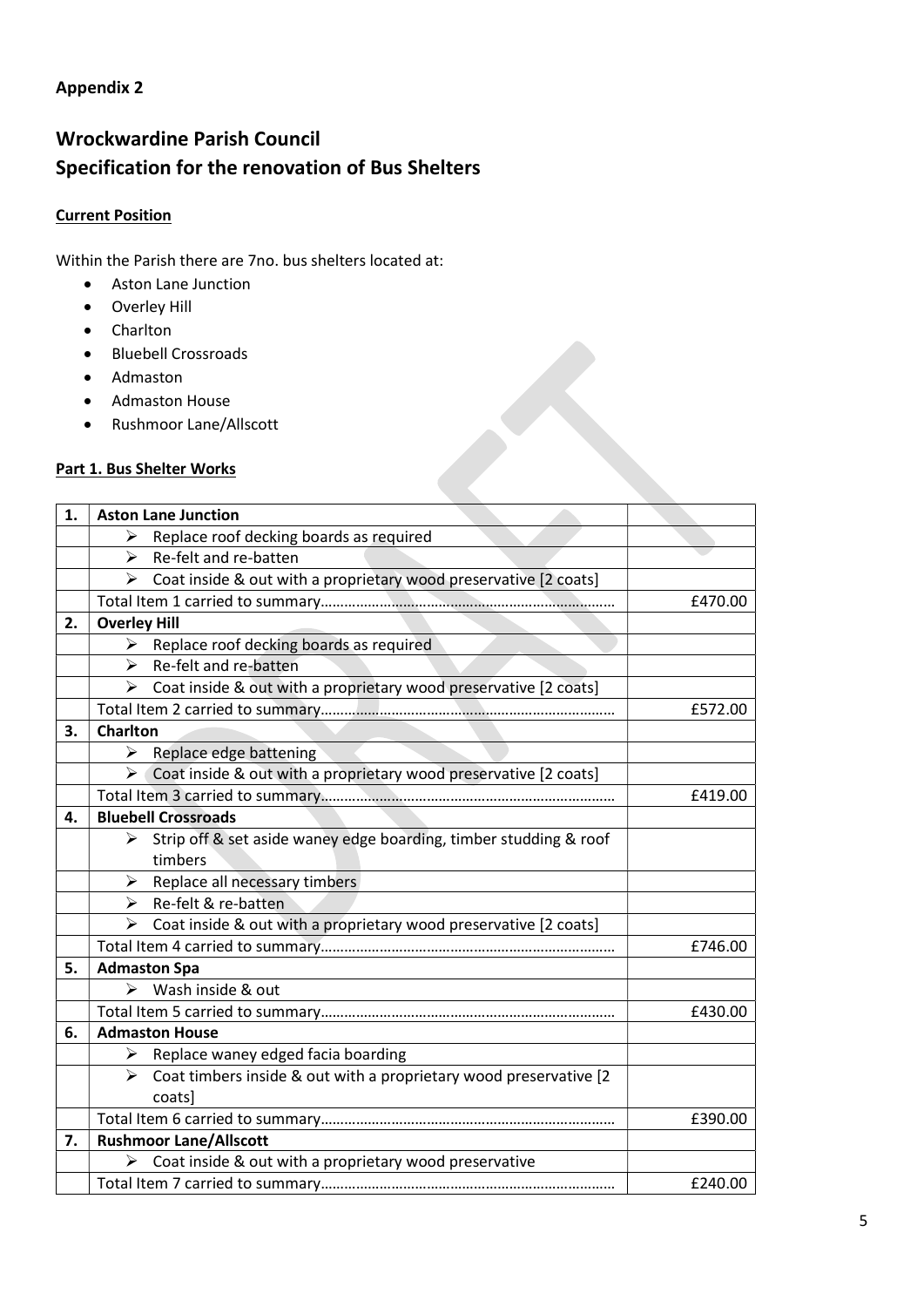### Appendix 2

## Wrockwardine Parish Council Specification for the renovation of Bus Shelters

### Current Position

Within the Parish there are 7no. bus shelters located at:

- Aston Lane Junction
- Overley Hill
- Charlton
- Bluebell Crossroads
- Admaston
- Admaston House
- Rushmoor Lane/Allscott

### Part 1. Bus Shelter Works

| 1. | <b>Aston Lane Junction</b>                                              |         |
|----|-------------------------------------------------------------------------|---------|
|    | Replace roof decking boards as required<br>⋗                            |         |
|    | Re-felt and re-batten<br>➤                                              |         |
|    | Coat inside & out with a proprietary wood preservative [2 coats]<br>➤   |         |
|    |                                                                         | £470.00 |
| 2. | <b>Overley Hill</b>                                                     |         |
|    | ➤<br>Replace roof decking boards as required                            |         |
|    | $\blacktriangleright$<br>Re-felt and re-batten                          |         |
|    | Coat inside & out with a proprietary wood preservative [2 coats]<br>➤   |         |
|    |                                                                         | £572.00 |
| З. | <b>Charlton</b>                                                         |         |
|    | Replace edge battening<br>≻                                             |         |
|    | Coat inside & out with a proprietary wood preservative [2 coats]<br>≻   |         |
|    |                                                                         | £419.00 |
| 4. | <b>Bluebell Crossroads</b>                                              |         |
|    | Strip off & set aside waney edge boarding, timber studding & roof<br>➤  |         |
|    | timbers                                                                 |         |
|    | Replace all necessary timbers<br>➤                                      |         |
|    | Re-felt & re-batten<br>➤                                                |         |
|    | Coat inside & out with a proprietary wood preservative [2 coats]<br>➤   |         |
|    |                                                                         | £746.00 |
| 5. | <b>Admaston Spa</b>                                                     |         |
|    | Wash inside & out<br>⋗                                                  |         |
|    |                                                                         | £430.00 |
| 6. | <b>Admaston House</b>                                                   |         |
|    | Replace waney edged facia boarding<br>➤                                 |         |
|    | Coat timbers inside & out with a proprietary wood preservative [2]<br>⋗ |         |
|    | coats]                                                                  |         |
|    |                                                                         | £390.00 |
| 7. | <b>Rushmoor Lane/Allscott</b>                                           |         |
|    | Coat inside & out with a proprietary wood preservative                  |         |
|    |                                                                         | £240.00 |